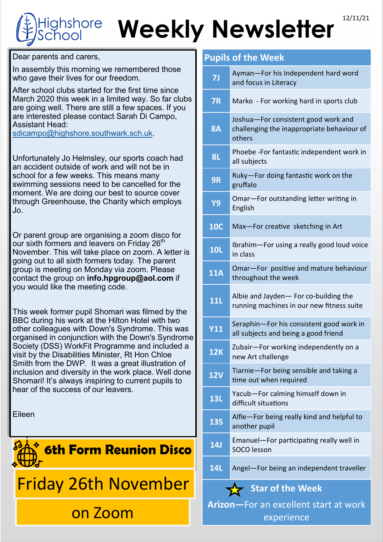## Weekly Newsletter<sup>12/11/21</sup> ghshore

Dear parents and carers,

In assembly this morning we remembered those who gave their lives for our freedom.

After school clubs started for the first time since March 2020 this week in a limited way. So far clubs are going well. There are still a few spaces. If you are interested please contact Sarah Di Campo, Assistant Head:

[sdicampo@highshore.southwark.sch.uk.](mailto:sdicampo@highshore.southwark.sch.uk) 

Unfortunately Jo Helmsley, our sports coach had an accident outside of work and will not be in school for a few weeks. This means many swimming sessions need to be cancelled for the moment. We are doing our best to source cover through Greenhouse, the Charity which employs Jo.

Or parent group are organising a zoom disco for our sixth formers and leavers on Friday 26<sup>th</sup> November. This will take place on zoom. A letter is going out to all sixth formers today. The parent group is meeting on Monday via zoom. Please contact the group on **info.hpgroup@aol.com** if you would like the meeting code.

This week former pupil Shomari was filmed by the BBC during his work at the Hilton Hotel with two other colleagues with Down's Syndrome. This was organised in conjunction with the Down's Syndrome Society (DSS) WorkFit Programme and included a visit by the Disabilities Minister, Rt Hon Chloe Smith from the DWP. It was a great illustration of inclusion and diversity in the work place. Well done Shomari! It's always inspiring to current pupils to hear of the success of our leavers.

Eileen



## **Pupils of the Week**

| 7J                                                  | Ayman-For his Independent hard word<br>and focus in Literacy                                |
|-----------------------------------------------------|---------------------------------------------------------------------------------------------|
| <b>7R</b>                                           | Marko - For working hard in sports club                                                     |
| <b>8A</b>                                           | Joshua-For consistent good work and<br>challenging the inappropriate behaviour of<br>others |
| <b>8L</b>                                           | Phoebe -For fantastic independent work in<br>all subjects                                   |
| 9R                                                  | Ruky-For doing fantastic work on the<br>gruffalo                                            |
| Y9                                                  | Omar-For outstanding letter writing in<br>English                                           |
| <b>10C</b>                                          | Max-For creative sketching in Art                                                           |
| <b>10L</b>                                          | Ibrahim-For using a really good loud voice<br>in class                                      |
| <b>11A</b>                                          | Omar-For positive and mature behaviour<br>throughout the week                               |
| <b>11L</b>                                          | Albie and Jayden- For co-building the<br>running machines in our new fitness suite          |
| <b>Y11</b>                                          | Seraphin-For his consistent good work in<br>all subjects and being a good friend            |
| <b>12K</b>                                          | Zubair-For working independently on a<br>new Art challenge                                  |
| <b>12V</b>                                          | Tiarnie-For being sensible and taking a<br>time out when required                           |
| <b>13L</b>                                          | Yacub-For calming himself down in<br>difficult situations                                   |
| <b>13S</b>                                          | Alfie-For being really kind and helpful to<br>another pupil                                 |
| <b>14J</b>                                          | Emanuel-For participating really well in<br><b>SOCO</b> lesson                              |
| <b>14L</b>                                          | Angel-For being an independent traveller                                                    |
| <b>Star of the Week</b>                             |                                                                                             |
| Arizon-For an excellent start at work<br>experience |                                                                                             |